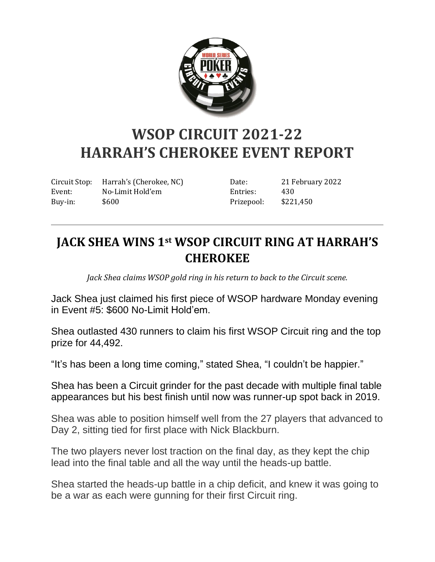

## **WSOP CIRCUIT 2021-22 HARRAH'S CHEROKEE EVENT REPORT**

Circuit Stop: Harrah's (Cherokee, NC) Event: No-Limit Hold'em Buy-in: \$600

Date: 21 February 2022 Entries: 430 Prizepool: \$221,450

## **JACK SHEA WINS 1st WSOP CIRCUIT RING AT HARRAH'S CHEROKEE**

*Jack Shea claims WSOP gold ring in his return to back to the Circuit scene.*

Jack Shea just claimed his first piece of WSOP hardware Monday evening in Event #5: \$600 No-Limit Hold'em.

Shea outlasted 430 runners to claim his first WSOP Circuit ring and the top prize for 44,492.

"It's has been a long time coming," stated Shea, "I couldn't be happier."

Shea has been a Circuit grinder for the past decade with multiple final table appearances but his best finish until now was runner-up spot back in 2019.

Shea was able to position himself well from the 27 players that advanced to Day 2, sitting tied for first place with Nick Blackburn.

The two players never lost traction on the final day, as they kept the chip lead into the final table and all the way until the heads-up battle.

Shea started the heads-up battle in a chip deficit, and knew it was going to be a war as each were gunning for their first Circuit ring.